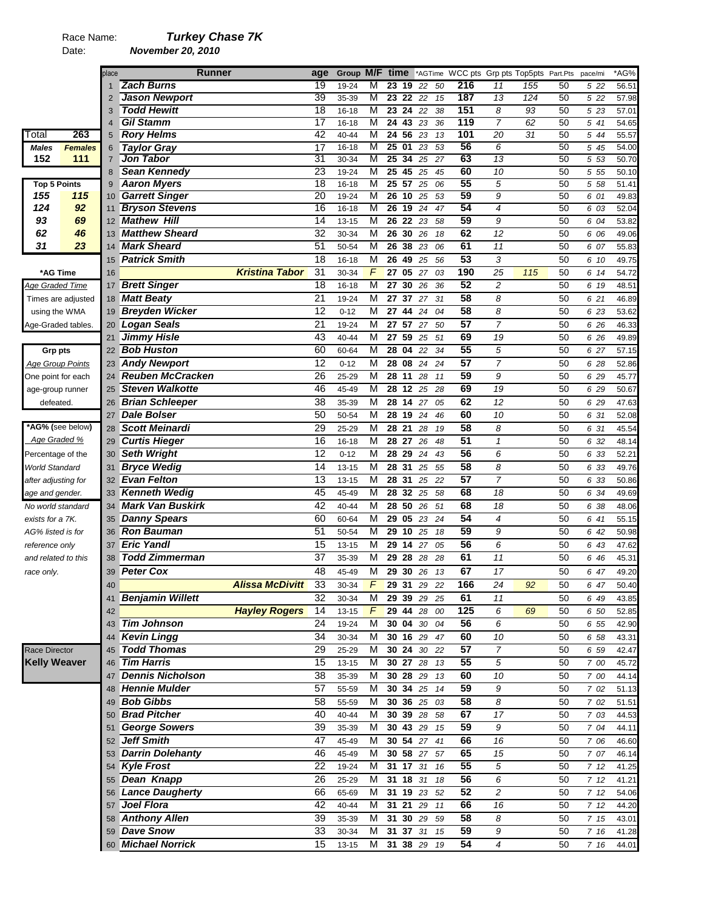# Race Name: *Turkey Chase 7K*

Date: *November 20, 2010* 

|                                        |                         | place          | <b>Runner</b>                            |                        | age             | Group M/F time |   |                 |    |             |      | *AGTime WCC pts Grp pts Top5pts Part.Pts |                |     |    | pace/mi | *AG%  |
|----------------------------------------|-------------------------|----------------|------------------------------------------|------------------------|-----------------|----------------|---|-----------------|----|-------------|------|------------------------------------------|----------------|-----|----|---------|-------|
|                                        |                         | 1              | <b>Zach Burns</b>                        |                        | 19              | 19-24          | М | 23              | 19 | 22          | 50   | 216                                      | 11             | 155 | 50 | 5 22    | 56.51 |
|                                        |                         | 2              | <b>Jason Newport</b>                     |                        | 39              | 35-39          | M | 23              | 22 | 22          | 15   | 187                                      | 13             | 124 | 50 | 5 22    | 57.98 |
|                                        |                         | 3              | <b>Todd Hewitt</b>                       |                        | $\overline{18}$ | 16-18          | M | 23              | 24 | 22          | 38   | 151                                      | 8              | 93  | 50 | 5 2 3   | 57.01 |
|                                        |                         | $\overline{4}$ | <b>Gil Stamm</b>                         |                        | $\overline{17}$ | 16-18          | М | 2443            |    | 23          | 36   | 119                                      | $\overline{7}$ | 62  | 50 | 5 41    | 54.65 |
| Total                                  | 263                     | 5              | <b>Rory Helms</b>                        |                        | 42              | 40-44          | M | 24, 56          |    | 23          | 13   | 101                                      | 20             | 31  | 50 | 5 44    | 55.57 |
| <b>Males</b>                           | <b>Females</b>          | 6              | <b>Taylor Gray</b>                       |                        | 17              | 16-18          | M | $\overline{25}$ | 01 | 23          | 53   | 56                                       | 6              |     | 50 | 5 45    | 54.00 |
| 152                                    | 111                     | $\overline{7}$ | <b>Jon Tabor</b>                         |                        | 31              | 30-34          | M | $\overline{25}$ | 34 | 25          | 27   | 63                                       | 13             |     | 50 | 5 53    | 50.70 |
|                                        |                         | 8              | <b>Sean Kennedy</b>                      |                        | 23              | 19-24          | M | 25              | 45 | 25          | 45   | 60                                       | 10             |     | 50 | 5 5 5   | 50.10 |
| <b>Top 5 Points</b>                    |                         | 9              | <b>Aaron Myers</b>                       |                        | $\overline{18}$ | 16-18          | M | 25 57           |    | 25          | 06   | 55                                       | 5              |     | 50 | 5 58    | 51.41 |
| 155                                    | 115                     | 10             | <b>Garrett Singer</b>                    |                        | $\overline{20}$ | 19-24          | M | 26              | 10 | 25          | 53   | 59                                       | 9              |     | 50 | 6 01    | 49.83 |
| 124                                    | 92                      | 11             | <b>Bryson Stevens</b>                    |                        | $\overline{16}$ | 16-18          | M | 26              | 19 | 24          | 47   | 54                                       | $\overline{4}$ |     | 50 | 6 03    | 52.04 |
| 93                                     | 69                      | 12             | <b>Mathew Hill</b>                       |                        | 14              | $13 - 15$      | M | 26 22           |    | 23          | 58   | 59                                       | 9              |     | 50 | 6 04    | 53.82 |
| 62                                     | 46                      | 13             | <b>Matthew Sheard</b>                    |                        | 32              | 30-34          | M | 26 30           |    | 26          | 18   | 62                                       | 12             |     | 50 | 6 06    | 49.06 |
| 31                                     | 23                      | 14             | <b>Mark Sheard</b>                       |                        | 51              | 50-54          | M | 26 38           |    | 23          | 06   | 61                                       | 11             |     | 50 | 6 07    | 55.83 |
|                                        |                         | 15             | <b>Patrick Smith</b>                     |                        | 18              | 16-18          | M | 26              | 49 | 25          | 56   | 53                                       | 3              |     | 50 | 6 10    | 49.75 |
| *AG Time                               |                         | 16             |                                          | <b>Kristina Tabor</b>  | 31              | 30-34          | F | 27              | 05 | 27          | 03   | 190                                      | 25             | 115 | 50 | 6 14    | 54.72 |
| Age Graded Time                        |                         | 17             | <b>Brett Singer</b>                      |                        | 18              | 16-18          | M | 27              | 30 | 26          | 36   | 52                                       | $\overline{c}$ |     | 50 | 6 19    | 48.51 |
|                                        | Times are adjusted      | 18             | <b>Matt Beaty</b>                        |                        | 21              | 19-24          | M | 27              | 37 | 27          | 31   | 58                                       | 8              |     | 50 | 6 21    | 46.89 |
| using the WMA                          |                         | 19             | <b>Breyden Wicker</b>                    |                        | $\overline{12}$ | $0 - 12$       | M | 27              | 44 | 24          | 04   | $\overline{58}$                          | 8              |     | 50 | 6 23    | 53.62 |
| Age-Graded tables.                     |                         | 20             | <b>Logan Seals</b>                       |                        | $\overline{21}$ | 19-24          | M | 27 57           |    | 27          | 50   | $\overline{57}$                          | $\overline{7}$ |     | 50 | 6 26    | 46.33 |
|                                        |                         | 21             | <b>Jimmy Hisle</b>                       |                        | 43              | 40-44          | M | 27              | 59 | 25          | 51   | 69                                       | 19             |     | 50 | 6 26    | 49.89 |
| <b>Grp pts</b>                         |                         | 22             | <b>Bob Huston</b>                        |                        | 60              | 60-64          | M | 28 04           |    | 22          | 34   | 55                                       | 5              |     | 50 | 6 27    | 57.15 |
|                                        | <b>Age Group Points</b> | 23             | <b>Andy Newport</b>                      |                        | 12              | $0 - 12$       | M | 28 08           |    | 24          | 24   | 57                                       | $\overline{7}$ |     | 50 | 6 28    | 52.86 |
| One point for each                     |                         | 24             | <b>Reuben McCracken</b>                  |                        | 26              | 25-29          | M | 28 11           |    | 28          | 11   | 59                                       | 9              |     | 50 | 6 29    | 45.77 |
| age-group runner                       |                         | 25             | <b>Steven Walkotte</b>                   |                        | 46              | 45-49          | M | 28 12           |    | 25          | 28   | 69                                       | 19             |     | 50 | 6 29    | 50.67 |
| defeated.                              |                         | 26             | <b>Brian Schleeper</b>                   |                        | 38              | 35-39          | M | 28 14           |    | 27          | 05   | 62                                       | 12             |     | 50 | 6 29    | 47.63 |
|                                        |                         | 27             | <b>Dale Bolser</b>                       |                        | 50              | 50-54          | M | 28 19           |    | 24          | 46   | 60                                       | 10             |     | 50 | 6 31    | 52.08 |
|                                        | *AG% (see below)        | 28             | <b>Scott Meinardi</b>                    |                        | 29              | 25-29          | M | 28 21           |    | 28          | 19   | 58                                       | 8              |     | 50 | 6 31    | 45.54 |
| Age Graded %                           |                         | 29             | <b>Curtis Hieger</b>                     |                        | 16              | 16-18          | M | 28              | 27 | 26          | 48   | 51                                       | $\mathcal I$   |     | 50 | 6 32    | 48.14 |
| Percentage of the                      |                         | 30             | <b>Seth Wright</b>                       |                        | 12              | $0 - 12$       | М | 28 29           |    | 24          | 43   | 56                                       | 6              |     | 50 | 6 33    | 52.21 |
|                                        |                         | 31             | <b>Bryce Wedig</b>                       |                        | 14              | $13 - 15$      | M | 28              | 31 | 25          | 55   | $\overline{58}$                          | 8              |     | 50 | 6 33    | 49.76 |
| World Standard                         |                         | 32             | <b>Evan Felton</b>                       |                        | 13              | 13-15          | М | 28              | 31 | 25          | 22   | $\overline{57}$                          | $\overline{7}$ |     | 50 | 6 33    | 50.86 |
| after adjusting for<br>age and gender. |                         | 33             | <b>Kenneth Wedig</b>                     |                        | 45              | 45-49          | M | 28              | 32 | 25          | 58   | 68                                       | 18             |     | 50 | 6 34    | 49.69 |
|                                        |                         |                | <b>Mark Van Buskirk</b>                  |                        | 42              |                | M | 28 50           |    |             | 51   | 68                                       | 18             |     | 50 |         |       |
| No world standard                      |                         | 34             |                                          |                        | 60              | 40-44          | M |                 |    | 26          |      | 54                                       | $\overline{4}$ |     |    | 6 38    | 48.06 |
| exists for a 7K.                       |                         | 35             | <b>Danny Spears</b><br><b>Ron Bauman</b> |                        | 51              | 60-64          |   | 29              | 05 | 23          | 24   | 59                                       |                |     | 50 | 6 41    | 55.15 |
| AG% listed is for                      |                         | 36             | <b>Eric Yandl</b>                        |                        |                 | 50-54          | M | 29              | 10 | 25          | 18   |                                          | 9              |     | 50 | 6 42    | 50.98 |
| reference only                         |                         | 37             |                                          |                        | 15              | $13 - 15$      | M | 29 14           |    | 27          | 05   | 56                                       | 6              |     | 50 | 6 43    | 47.62 |
| and related to this                    |                         | 38             | <b>Todd Zimmerman</b>                    |                        | 37              | 35-39          | М | 29              | 28 | 28          | 28   | 61                                       | 11             |     | 50 | 6 46    | 45.31 |
| race only.                             |                         | 39             | <b>Peter Cox</b>                         |                        | 48              | 45-49          | M | 29 30 26        |    |             | 13   | 67                                       | 17             |     | 50 | 6 47    | 49.20 |
|                                        |                         | 40             |                                          | <b>Alissa McDivitt</b> | 33              | 30-34          | F |                 |    | 29 31 29 22 |      | 166                                      | 24             | 92  | 50 | 6 47    | 50.40 |
|                                        |                         | 41             | <b>Benjamin Willett</b>                  |                        | 32              | 30-34          | М | 29 39           |    | 29          | 25   | 61                                       | 11             |     | 50 | 6 49    | 43.85 |
|                                        |                         | 42             |                                          | <b>Hayley Rogers</b>   | 14              | 13-15          | F |                 |    | 29 44 28 00 |      | 125                                      | 6              | 69  | 50 | 6 50    | 52.85 |
|                                        |                         | 43             | <b>Tim Johnson</b>                       |                        | 24              | 19-24          | М | <b>30 04 30</b> |    |             | 04   | 56                                       | 6              |     | 50 | 6 55    | 42.90 |
|                                        |                         | 44             | <b>Kevin Lingg</b>                       |                        | 34              | 30-34          | M |                 |    | 30 16 29 47 |      | 60                                       | 10             |     | 50 | 6 58    | 43.31 |
| <b>Race Director</b>                   |                         | 45             | <b>Todd Thomas</b>                       |                        | 29              | 25-29          | M | 30 24           |    | 30          | 22   | 57                                       | $\overline{7}$ |     | 50 | 6 59    | 42.47 |
| <b>Kelly Weaver</b>                    |                         | 46             | <b>Tim Harris</b>                        |                        | 15              | 13-15          | M | 30 27           |    | 28          | 13   | 55                                       | 5              |     | 50 | 7 00    | 45.72 |
|                                        |                         | 47             | <b>Dennis Nicholson</b>                  |                        | 38              | 35-39          | М | 30 28 29        |    |             | - 13 | 60                                       | 10             |     | 50 | 7 00    | 44.14 |
|                                        |                         | 48             | <b>Hennie Mulder</b>                     |                        | 57              | 55-59          | M | 30 34 25        |    |             | 14   | 59                                       | 9              |     | 50 | 7 02    | 51.13 |
|                                        |                         | 49             | <b>Bob Gibbs</b>                         |                        | 58              | 55-59          | M | 30 36 25        |    |             | 03   | 58                                       | 8              |     | 50 | 7 02    | 51.51 |
|                                        |                         | 50             | <b>Brad Pitcher</b>                      |                        | 40              | 40-44          | M | 30 39 28        |    |             | 58   | 67                                       | 17             |     | 50 | 7 03    | 44.53 |
|                                        |                         | 51             | <b>George Sowers</b>                     |                        | 39              | 35-39          | M |                 |    | 30 43 29 15 |      | 59                                       | 9              |     | 50 | 7 04    | 44.11 |
|                                        |                         | 52             | <b>Jeff Smith</b>                        |                        | 47              | 45-49          | M |                 |    | 30 54 27 41 |      | 66                                       | 16             |     | 50 | 7 06    | 46.60 |
|                                        |                         | 53             | <b>Darrin Dolehanty</b>                  |                        | 46              | 45-49          | M | 30 58 27        |    |             | 57   | 65                                       | 15             |     | 50 | 7 07    | 46.14 |
|                                        |                         | 54             | <b>Kyle Frost</b>                        |                        | 22              | 19-24          | M | 31 17           |    | 31          | 16   | 55                                       | 5              |     | 50 | 712     | 41.25 |
|                                        |                         | 55             | Dean Knapp                               |                        | 26              | 25-29          | М | 31 18 31        |    |             | 18   | 56                                       | 6              |     | 50 | 712     | 41.21 |
|                                        |                         | 56             | <b>Lance Daugherty</b>                   |                        | 66              | 65-69          | M | 31 19 23        |    |             | 52   | 52                                       | $\overline{c}$ |     | 50 | 712     | 54.06 |
|                                        |                         | 57             | <b>Joel Flora</b>                        |                        | 42              | 40-44          | M | 31 21 29        |    |             | 11   | 66                                       | 16             |     | 50 | 712     | 44.20 |
|                                        |                         | 58             | <b>Anthony Allen</b>                     |                        | 39              | 35-39          | M | 31 30 29        |    |             | 59   | 58                                       | 8              |     | 50 | 7 15    | 43.01 |
|                                        |                         | 59             | <b>Dave Snow</b>                         |                        | 33              | 30-34          | M |                 |    | 31 37 31 15 |      | 59                                       | 9              |     | 50 | 7 16    | 41.28 |
|                                        |                         | 60             | <b>Michael Norrick</b>                   |                        | 15              | 13-15          | М |                 |    | 31 38 29 19 |      | 54                                       | 4              |     | 50 | 7 16    | 44.01 |
|                                        |                         |                |                                          |                        |                 |                |   |                 |    |             |      |                                          |                |     |    |         |       |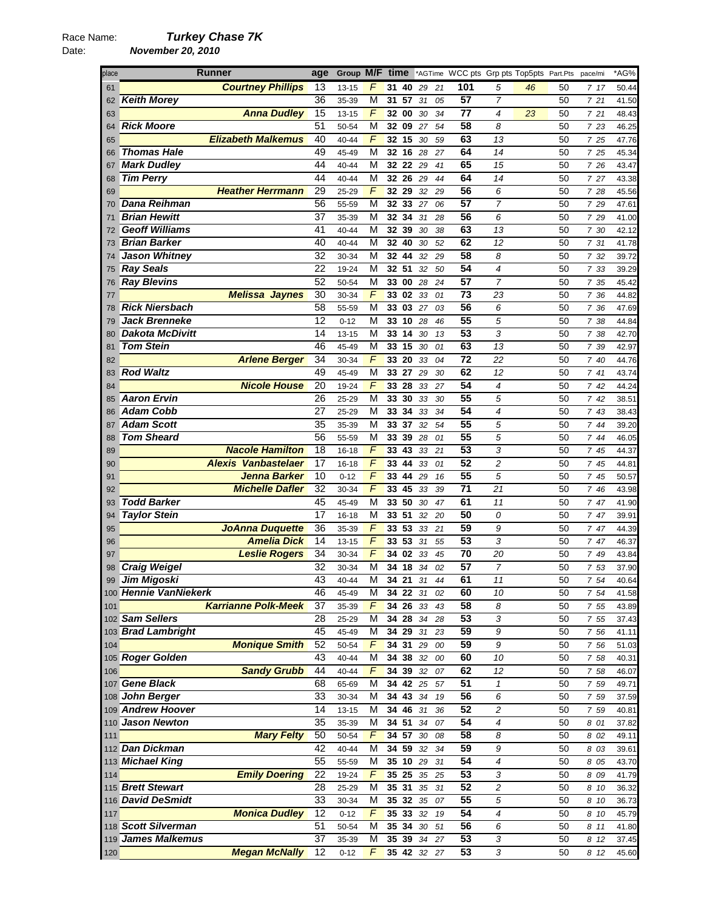Date: *November 20, 2010* 

### place **Runner age Group M/F time** \*AGTime WCC pts Grp pts Top5pts Part.Pts pace/mi \*AG% *Courtney Phillips* 13 13-15 *F* **31 40** *29 21* **101** *5 46* 50 *7 17* 50.44 *Keith Morey* 36 35-39 M **31 57** *31 05* **57** *7* 50 *7 21* 41.50 *Anna Dudley* 15 13-15 *F* **32 00** *30 34* **77** *4 23* 50 *7 21* 48.43 *Rick Moore* 51 50-54 M **32 09** *27 54* **58** *8* 50 *7 23* 46.25 *Elizabeth Malkemus* 40 40-44 *F* **32 15** *30 59* **63** *13* 50 *7 25* 47.76 *Thomas Hale* 49 45-49 M **32 16** *28 27* **64** *14* 50 *7 25* 45.34 *Mark Dudley* 44 40-44 M **32 22** *29 41* **65** *15* 50 *7 26* 43.47 *Tim Perry* 44 40-44 M **32 26** *29 44* **64** *14* 50 *7 27* 43.38 *Heather Herrmann* 29 25-29 *F* **32 29** *32 29* **56** *6* 50 *7 28* 45.56 *Dana Reihman* 56 55-59 M **32 33** *27 06* **57** *7* 50 *7 29* 47.61 *Brian Hewitt* 37 35-39 M **32 34** *31 28* **56** *6* 50 *7 29* 41.00 *Geoff Williams* 41 40-44 M **32 39** *30 38* **63** *13* 50 *7 30* 42.12 *Brian Barker* 40 40-44 M **32 40** *30 52* **62** *12* 50 *7 31* 41.78 *Jason Whitney* 32 30-34 M **32 44** *32 29* **58** *8* 50 *7 32* 39.72 *Ray Seals* 22 19-24 M **32 51** *32 50* **54** *4* 50 *7 33* 39.29 *Ray Blevins* 52 50-54 M **33 00** *28 24* **57** *7* 50 *7 35* 45.42 *Melissa Jaynes* 30 30-34 *F* **33 02** *33 01* **73** *23* 50 *7 36* 44.82 *Rick Niersbach* 58 55-59 M **33 03** *27 03* **56** *6* 50 *7 36* 47.69 *Jack Brenneke* 12 0-12 M **33 10** *28 46* **55** *5* 50 *7 38* 44.84 *Dakota McDivitt* 14 13-15 M **33 14** *30 13* **53** *3* 50 *7 38* 42.70 *Tom Stein* 46 45-49 M **33 15** *30 01* **63** *13* 50 *7 39* 42.97 *Arlene Berger* 34 30-34 *F* **33 20** *33 04* **72** *22* 50 *7 40* 44.76 *Rod Waltz* 49 45-49 M **33 27** *29 30* **62** *12* 50 *7 41* 43.74 *Nicole House* 20 19-24 *F* **33 28** *33 27* **54** *4* 50 *7 42* 44.24 *Aaron Ervin* 26 25-29 M **33 30** *33 30* **55** *5* 50 *7 42* 38.51 *Adam Cobb* 27 25-29 M **33 34** *33 34* **54** *4* 50 *7 43* 38.43 *Adam Scott* 35 35-39 M **33 37** *32 54* **55** *5* 50 *7 44* 39.20 *Tom Sheard* 56 55-59 M **33 39** *28 01* **55** *5* 50 *7 44* 46.05 *Nacole Hamilton* 18 16-18 *F* **33 43** *33 21* **53** *3* 50 *7 45* 44.37 *Alexis Vanbastelaer* 17 16-18 *F* **33 44** *33 01* **52** *2* 50 *7 45* 44.81 *Jenna Barker* 10 0-12 *F* **33 44** *29 16* **55** *5* 50 *7 45* 50.57 *Michelle Dafler* 32 30-34 *F* **33 45** *33 39* **71** *21* 50 *7 46* 43.98 *Todd Barker* 45 45-49 M **33 50** *30 47* **61** *11* 50 *7 47* 41.90 *Taylor Stein* 17 16-18 M **33 51** *32 20* **50** *0* 50 *7 47* 39.91 *JoAnna Duquette* 36 35-39 *F* **33 53** *33 21* **59** *9* 50 *7 47* 44.39 *Amelia Dick* 14 13-15 *F* **33 53** *31 55* **53** *3* 50 *7 47* 46.37 *Leslie Rogers* 34 30-34 *F* **34 02** *33 45* **70** *20* 50 *7 49* 43.84 *Craig Weigel* 32 30-34 M **34 18** *34 02* **57** *7* 50 *7 53* 37.90 *Jim Migoski* 43 40-44 M **34 21** *31 44* **61** *11* 50 *7 54* 40.64 *Hennie VanNiekerk* 46 45-49 M **34 22** *31 02* **60** *10* 50 *7 54* 41.58 *Karrianne Polk-Meek* 37 35-39 *F* **34 26** *33 43* **58** *8* 50 *7 55* 43.89 *Sam Sellers* 28 25-29 M **34 28** *34 28* **53** *3* 50 *7 55* 37.43 *Brad Lambright* 45 45-49 M **34 29** *31 23* **59** *9* 50 *7 56* 41.11 *Monique Smith* 52 50-54 *F* **34 31** *29 00* **59** *9* 50 *7 56* 51.03 *Roger Golden* 43 40-44 M **34 38** *32 00* **60** *10* 50 *7 58* 40.31 *Sandy Grubb* 44 40-44 *F* **34 39** *32 07* **62** *12* 50 *7 58* 46.07 *Gene Black* 68 65-69 M **34 42** *25 57* **51** *1* 50 *7 59* 49.71 *John Berger* 33 30-34 M **34 43** *34 19* **56** *6* 50 *7 59* 37.59 *Andrew Hoover* 14 13-15 M **34 46** *31 36* **52** *2* 50 *7 59* 40.81 *Jason Newton* 35 35-39 M **34 51** *34 07* **54** *4* 50 *8 01* 37.82 *Mary Felty* 50 50-54 *F* **34 57** *30 08* **58** *8* 50 *8 02* 49.11 *Dan Dickman* 42 40-44 M **34 59** *32 34* **59** *9* 50 *8 03* 39.61 *Michael King* 55 55-59 M **35 10** *29 31* **54** *4* 50 *8 05* 43.70 *Emily Doering* 22 19-24 *F* **35 25** *35 25* **53** *3* 50 *8 09* 41.79 *Brett Stewart* 28 25-29 M **35 31** *35 31* **52** *2* 50 *8 10* 36.32 *David DeSmidt* 33 30-34 M **35 32** *35 07* **55** *5* 50 *8 10* 36.73 *Monica Dudley* 12 0-12 *F* **35 33** *32 19* **54** *4* 50 *8 10* 45.79 *Scott Silverman* 51 50-54 M **35 34** *30 51* **56** *6* 50 *8 11* 41.80 *James Malkemus* 37 35-39 M **35 39** *34 27* **53** *3* 50 *8 12* 37.45 *Megan McNally* 12 0-12 *F* **35 42** *32 27* **53** *3* 50 *8 12* 45.60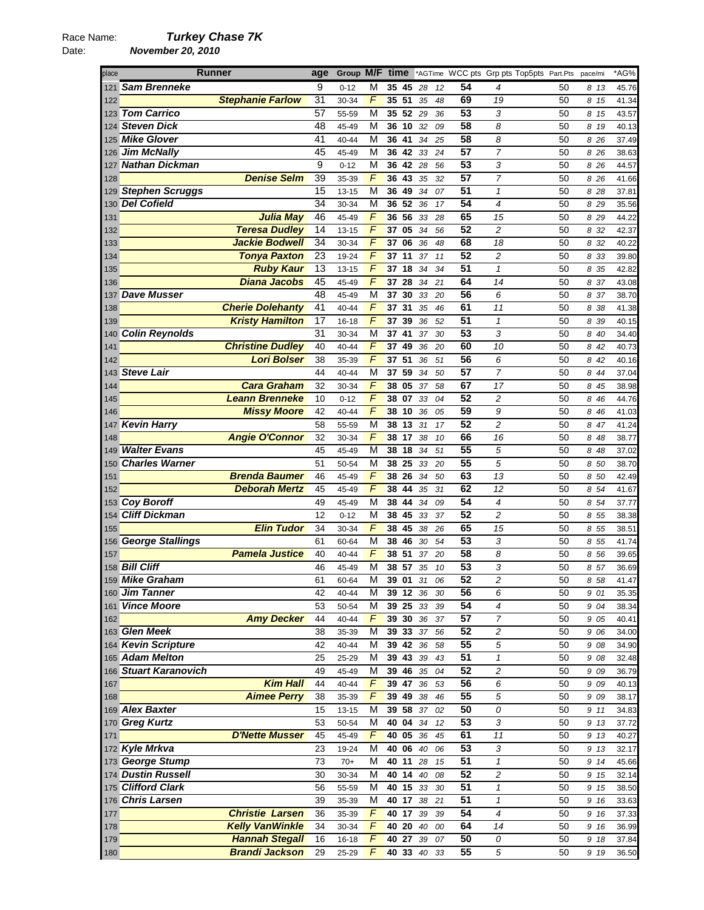## Race Name: *Turkey Chase 7K*  Date: *November 20, 2010*

| place | Runner                    |                         | age             |           |   |                    |                 |          |    |    | Group M/F time *AGTime WCC pts Grp pts Top5pts Part.Pts pace/mi |    |       | *AG%  |
|-------|---------------------------|-------------------------|-----------------|-----------|---|--------------------|-----------------|----------|----|----|-----------------------------------------------------------------|----|-------|-------|
| 121   | <b>Sam Brenneke</b>       |                         | 9               | $0 - 12$  | М | 35 45              |                 | 28       | 12 | 54 | 4                                                               | 50 | 8 13  | 45.76 |
| 122   |                           | <b>Stephanie Farlow</b> | 31              | 30-34     | F | 35 51              |                 | 35       | 48 | 69 | 19                                                              | 50 | 8 15  | 41.34 |
|       | 123 Tom Carrico           |                         | 57              | 55-59     | M |                    | 35 52 29        |          | 36 | 53 | 3                                                               | 50 | 8 15  | 43.57 |
|       | 124 Steven Dick           |                         | 48              | 45-49     | M | 36                 | 10              | 32       | 09 | 58 | 8                                                               | 50 | 8 19  | 40.13 |
|       | 125 Mike Glover           |                         | 41              | 40-44     | M | 36 41              |                 | 34       | 25 | 58 | 8                                                               | 50 | 8 26  | 37.49 |
|       | 126 Jim McNally           |                         | 45              | 45-49     | M | 36                 | 42              | 33       | 24 | 57 | 7                                                               | 50 | 8 26  | 38.63 |
|       | 127 <b>Nathan Dickman</b> |                         | 9               | $0 - 12$  | М | 36                 | 42              | 28       | 56 | 53 | 3                                                               | 50 | 8 26  | 44.57 |
| 128   |                           | <b>Denise Selm</b>      | 39              | 35-39     | F | 36                 | 43              | 35       | 32 | 57 | $\overline{7}$                                                  | 50 | 8 26  | 41.66 |
|       | 129 Stephen Scruggs       |                         | 15              |           | M |                    |                 |          |    | 51 | $\mathbf{1}$                                                    |    |       |       |
|       |                           |                         | $\overline{34}$ | 13-15     |   | 36 49              | 36 52 36        | 34       | 07 | 54 |                                                                 | 50 | 8 28  | 37.81 |
|       | 130 Del Cofield           |                         |                 | 30-34     | M |                    |                 |          | 17 |    | 4                                                               | 50 | 8 29  | 35.56 |
| 131   |                           | <b>Julia May</b>        | 46              | 45-49     | F | 36                 | 56              | 33       | 28 | 65 | 15                                                              | 50 | 8 2 9 | 44.22 |
| 132   |                           | <b>Teresa Dudley</b>    | 14              | $13 - 15$ | F |                    | 37 05           | 34       | 56 | 52 | 2                                                               | 50 | 8 32  | 42.37 |
| 133   |                           | <b>Jackie Bodwell</b>   | 34              | 30-34     | F | 37                 | 06              | 36       | 48 | 68 | 18                                                              | 50 | 8 32  | 40.22 |
| 134   |                           | <b>Tonya Paxton</b>     | 23              | 19-24     | F | 37                 | 11              | 37       | 11 | 52 | 2                                                               | 50 | 8 3 3 | 39.80 |
| 135   |                           | <b>Ruby Kaur</b>        | 13              | $13 - 15$ | F | 37                 | 18              | 34       | 34 | 51 | 1                                                               | 50 | 8 35  | 42.82 |
| 136   |                           | <b>Diana Jacobs</b>     | 45              | 45-49     | F | 37 28              |                 | 34       | 21 | 64 | 14                                                              | 50 | 8 37  | 43.08 |
|       | 137 Dave Musser           |                         | 48              | 45-49     | M | 37                 | 30              | 33       | 20 | 56 | 6                                                               | 50 | 8 37  | 38.70 |
| 138   |                           | <b>Cherie Dolehanty</b> | 41              | 40-44     | F | 37                 | 31              | 35       | 46 | 61 | 11                                                              | 50 | 8 38  | 41.38 |
| 139   |                           | <b>Kristy Hamilton</b>  | 17              | $16 - 18$ | F | 37                 | 39              | 36       | 52 | 51 | $\mathbf{1}$                                                    | 50 | 8 39  | 40.15 |
|       | 140 Colin Reynolds        |                         | 31              | 30-34     | M | 37 41              |                 | 37       | 30 | 53 | 3                                                               | 50 | 8 40  | 34.40 |
| 141   |                           | <b>Christine Dudley</b> | 40              | 40-44     | F | 37                 | 49              | 36       | 20 | 60 | 10                                                              | 50 | 8 42  | 40.73 |
| 142   |                           | <b>Lori Bolser</b>      | 38              | 35-39     | F | 37                 | 51              | 36       | 51 | 56 | 6                                                               | 50 | 8 42  | 40.16 |
| 143   | <b>Steve Lair</b>         |                         | 44              | 40-44     | М | 37                 | 59              | 34       | 50 | 57 | 7                                                               | 50 | 8 4 4 | 37.04 |
| 144   |                           | <b>Cara Graham</b>      | 32              | 30-34     | F | 38                 | 05              | 37       | 58 | 67 | 17                                                              | 50 | 8 45  | 38.98 |
|       |                           | <b>Leann Brenneke</b>   |                 |           | F |                    |                 |          |    | 52 |                                                                 |    |       |       |
| 145   |                           |                         | 10              | $0 - 12$  |   | 38                 | 07              | 33       | 04 |    | 2                                                               | 50 | 8 4 6 | 44.76 |
| 146   |                           | <b>Missy Moore</b>      | 42              | 40-44     | F | 38                 | 10              | 36       | 05 | 59 | 9                                                               | 50 | 8 4 6 | 41.03 |
| 147   | <b>Kevin Harry</b>        |                         | 58              | 55-59     | M | 38                 | 13              | 31       | 17 | 52 | $\overline{c}$                                                  | 50 | 8 47  | 41.24 |
| 148   |                           | <b>Angie O'Connor</b>   | 32              | 30-34     | F | 38                 | 17              | 38       | 10 | 66 | 16                                                              | 50 | 8 48  | 38.77 |
|       | 149 Walter Evans          |                         | 45              | 45-49     | M | 38                 | 18              | 34       | 51 | 55 | 5                                                               | 50 | 8 48  | 37.02 |
| 150   | <b>Charles Warner</b>     |                         | 51              | 50-54     | M | 38 25              |                 | 33       | 20 | 55 | 5                                                               | 50 | 8 50  | 38.70 |
| 151   |                           | <b>Brenda Baumer</b>    | 46              | 45-49     | F | 38                 | 26              | 34       | 50 | 63 | 13                                                              | 50 | 8 50  | 42.49 |
| 152   |                           | <b>Deborah Mertz</b>    | 45              | 45-49     | F | 38                 | 44              | 35       | 31 | 62 | 12                                                              | 50 | 8 54  | 41.67 |
|       | 153 Coy Boroff            |                         | 49              | 45-49     | M |                    | 38 44           | 34       | 09 | 54 | 4                                                               | 50 | 8 54  | 37.77 |
| 154   | <b>Cliff Dickman</b>      |                         | 12              | $0 - 12$  | M | 38                 | 45              | 33       | 37 | 52 | $\overline{c}$                                                  | 50 | 8 55  | 38.38 |
| 155   |                           | <b>Elin Tudor</b>       | 34              | 30-34     | F | 38                 | 45              | 38       | 26 | 65 | 15                                                              | 50 | 8 55  | 38.51 |
|       | 156 George Stallings      |                         | 61              | 60-64     | M | 38                 | 46              | 30       | 54 | 53 | 3                                                               | 50 | 8 55  | 41.74 |
| 157   |                           | <b>Pamela Justice</b>   | 40              | 40-44     | F | 38 51              |                 | 37       | 20 | 58 | 8                                                               | 50 | 8 56  | 39.65 |
|       | 158 Bill Cliff            |                         | 46              | 45-49     | M | 38                 | 57              | 35       | 10 | 53 | 3                                                               | 50 | 8 57  | 36.69 |
|       | 159 Mike Graham           |                         | 61              | 60-64     | м | 39                 | 01              | 31       | 06 | 52 | 2                                                               | 50 | 8 58  | 41.47 |
|       | 160 Jim Tanner            |                         | 42              | 40-44     | М |                    | <b>39 12 36</b> |          | 30 | 56 | 6                                                               | 50 | 9 01  | 35.35 |
|       | 161 Vince Moore           |                         | 53              | 50-54     | М |                    |                 | 39 25 33 | 39 | 54 | 4                                                               | 50 | 9 04  | 38.34 |
| 162   |                           | <b>Amy Decker</b>       | 44              | 40-44     | F | 39 30 36           |                 |          | 37 | 57 | 7                                                               | 50 | 9 0 5 | 40.41 |
|       | 163 Glen Meek             |                         |                 |           |   |                    |                 |          |    | 52 |                                                                 |    |       |       |
|       |                           |                         | 38              | 35-39     | M | 39 33 37           |                 |          | 56 |    | 2                                                               | 50 | 9 0 6 | 34.00 |
|       | 164 Kevin Scripture       |                         | 42              | 40-44     | M | $39 \overline{42}$ |                 | 36       | 58 | 55 | 5                                                               | 50 | 9 08  | 34.90 |
|       | 165 Adam Melton           |                         | 25              | 25-29     | М | 39 43              |                 | 39       | 43 | 51 | $\mathbf{1}$                                                    | 50 | 9 08  | 32.48 |
|       | 166 Stuart Karanovich     |                         | 49              | 45-49     | M | $39 \ 46$          |                 | 35       | 04 | 52 | 2                                                               | 50 | 9 09  | 36.79 |
| 167   |                           | <b>Kim Hall</b>         | 44              | $40 - 44$ | F | 39 47              |                 | 36       | 53 | 56 | 6                                                               | 50 | 9 0 9 | 40.13 |
| 168   |                           | <b>Aimee Perry</b>      | 38              | 35-39     | F | 39 49              |                 | 38       | 46 | 55 | 5                                                               | 50 | 9 0 9 | 38.17 |
|       | 169 Alex Baxter           |                         | 15              | $13 - 15$ | М | 39 58              |                 | 37       | 02 | 50 | 0                                                               | 50 | 9 11  | 34.83 |
|       | 170 Greg Kurtz            |                         | 53              | 50-54     | M |                    | 40 04 34        |          | 12 | 53 | 3                                                               | 50 | 9 13  | 37.72 |
| 171   |                           | <b>D'Nette Musser</b>   | 45              | 45-49     | F | 40 05              |                 | 36       | 45 | 61 | 11                                                              | 50 | 9 13  | 40.27 |
|       | 172 Kyle Mrkva            |                         | 23              | 19-24     | M | 40 06              |                 | 40       | 06 | 53 | 3                                                               | 50 | 9 13  | 32.17 |
|       | 173 George Stump          |                         | 73              | $70+$     | M | 40 11              |                 | 28       | 15 | 51 | $\mathbf{1}$                                                    | 50 | 9 14  | 45.66 |
|       | 174 Dustin Russell        |                         | 30              | 30-34     | M | $40$ 14            |                 | 40       | 08 | 52 | 2                                                               | 50 | 9 15  | 32.14 |
|       | 175 Clifford Clark        |                         | 56              | 55-59     | M |                    | 40 15 33        |          | 30 | 51 | $\mathbf{1}$                                                    | 50 | 9 15  | 38.50 |
|       | 176 Chris Larsen          |                         | 39              | 35-39     | M | 40 17              |                 | 38       | 21 | 51 | $\mathbf{1}$                                                    | 50 | 9 16  | 33.63 |
| 177   |                           | <b>Christie Larsen</b>  | 36              | 35-39     | F | 40 17              |                 | 39       | 39 | 54 | 4                                                               | 50 | 9 16  | 37.33 |
| 178   |                           | <b>Kelly VanWinkle</b>  | 34              | 30-34     | F |                    | 40 20 40        |          | 00 | 64 | 14                                                              | 50 | 9 16  | 36.99 |
| 179   |                           | <b>Hannah Stegall</b>   | 16              | 16-18     | F | 40 27              |                 | 39       | 07 | 50 | 0                                                               | 50 | 9 18  | 37.84 |
| 180   |                           | <b>Brandi Jackson</b>   | 29              | 25-29     | F |                    |                 | 40 33 40 | 33 | 55 | 5                                                               | 50 | 9 19  | 36.50 |
|       |                           |                         |                 |           |   |                    |                 |          |    |    |                                                                 |    |       |       |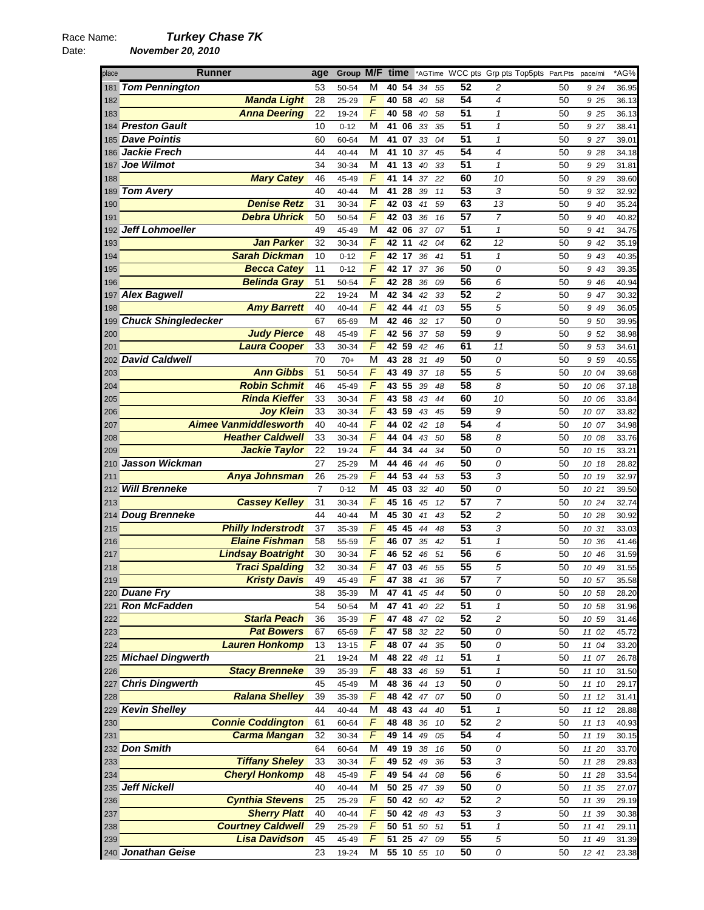# Race Name: *Turkey Chase 7K*  Date: *November 20, 2010*

| place | <b>Runner</b>                                | age            | Group M/F      |                | time |                |          |          |                 | *AGTime WCC pts Grp pts Top5pts Part.Pts |          | pace/mi | *AG%  |
|-------|----------------------------------------------|----------------|----------------|----------------|------|----------------|----------|----------|-----------------|------------------------------------------|----------|---------|-------|
| 181   | <b>Tom Pennington</b>                        | 53             | 50-54          | М              |      | 40 54          | 34       | 55       | 52              | 2                                        | 50       | 9 24    | 36.95 |
| 182   | <b>Manda Light</b>                           | 28             | 25-29          | F              | 40   | 58             | 40       | 58       | 54              | 4                                        | 50       | 9 25    | 36.13 |
| 183   | <b>Anna Deering</b>                          | 22             | 19-24          | F              |      | 40 58          | 40       | 58       | 51              | 1                                        | 50       | 9 25    | 36.13 |
|       | 184 <b>Preston Gault</b>                     | 10             | $0 - 12$       | М              | 41   | 06             | 33       | 35       | $\overline{51}$ | $\mathbf{1}$                             | 50       | 9 27    | 38.41 |
|       | 185 Dave Pointis                             | 60             | 60-64          | М              | 41   | 07             | 33       | 04       | 51              | $\mathcal I$                             | 50       | 9 27    | 39.01 |
|       | 186 Jackie Frech                             | 44             | 40-44          | M              | 41   | 10             | 37       | 45       | 54              | $\overline{\mathcal{A}}$                 | 50       | 9 28    | 34.18 |
| 187   | Joe Wilmot                                   | 34             | 30-34          | М              | 41   | 13             | 40       | 33       | 51              | $\mathbf{1}$                             | 50       | 9 2 9   | 31.81 |
| 188   | <b>Mary Catey</b>                            | 46             | 45-49          | F              | 41   | 14             | 37       | 22       | 60              | 10                                       | 50       | 9 2 9   | 39.60 |
| 189   | <b>Tom Avery</b>                             | 40             | 40-44          | М              | 41   | 28             | 39       | 11       | 53              | 3                                        | 50       | 9 32    | 32.92 |
| 190   | <b>Denise Retz</b>                           | 31             | 30-34          | F              | 42   | 03             | 41       | 59       | 63              | 13                                       | 50       | 9 40    | 35.24 |
| 191   | <b>Debra Uhrick</b>                          | 50             | 50-54          | F              | 42   | 03             | 36       | 16       | 57              | $\overline{7}$                           | 50       | 9 40    | 40.82 |
| 192   | <b>Jeff Lohmoeller</b>                       | 49             | 45-49          | M              | 42   | 06             | 37       | 07       | 51              | $\mathbf{1}$                             | 50       | 9 41    | 34.75 |
| 193   | <b>Jan Parker</b>                            | 32             | 30-34          | F              |      | 42 11          | 42       | 04       | 62              | 12                                       | 50       | 9 42    | 35.19 |
| 194   | <b>Sarah Dickman</b>                         | 10             | $0 - 12$       | F              | 42   | 17             | 36       | 41       | $\overline{51}$ | $\mathbf{1}$                             | 50       | 9 43    | 40.35 |
| 195   | <b>Becca Catey</b>                           | 11             | $0 - 12$       | F              |      | 42 17          | 37       | 36       | 50              | 0                                        | 50       | 9 43    | 39.35 |
| 196   | <b>Belinda Gray</b>                          | 51             | 50-54          | F              | 42   | 28             | 36       | 09       | 56              | 6                                        | 50       | 9 46    | 40.94 |
|       | 197 Alex Bagwell                             | 22             | 19-24          | М              |      | 42 34          | 42       | 33       | 52              | 2                                        | 50       | 9 47    | 30.32 |
| 198   | <b>Amy Barrett</b>                           | 40             | 40-44          | F              | 42   | 44             | 41       | 03       | 55              | 5                                        | 50       | 9 49    | 36.05 |
| 199   | <b>Chuck Shingledecker</b>                   | 67             | 65-69          | М              | 42   | 46             | 32       | 17       | 50              | 0                                        | 50       | 9 50    | 39.95 |
| 200   | <b>Judy Pierce</b>                           | 48             | 45-49          | F              |      | 42 56          | 37       | 58       | 59              | 9                                        | 50       | 9 52    | 38.98 |
| 201   | <b>Laura Cooper</b>                          | 33             | 30-34          | F              |      | 42 59          | 42       | 46       | 61              | 11                                       | 50       | 9 53    | 34.61 |
| 202   | <b>David Caldwell</b>                        | 70             | $70+$          | М              | 43   | 28             | 31       | 49       | 50              | 0                                        | 50       | 9 59    | 40.55 |
| 203   | <b>Ann Gibbs</b>                             | 51             | 50-54          | $\overline{F}$ | 43   | 49             | 37       | 18       | $\overline{55}$ | 5                                        | 50       | 10 04   | 39.68 |
| 204   | <b>Robin Schmit</b>                          | 46             | 45-49          | F              | 43   | 55             | 39       | 48       | 58              | 8                                        | 50       | 10 06   | 37.18 |
| 205   | <b>Rinda Kieffer</b>                         | 33             | 30-34          | F              | 43   | 58             | 43       | 44       | 60              | 10                                       | 50       | 10 06   | 33.84 |
| 206   | <b>Joy Klein</b>                             | 33             | 30-34          | F              | 43   | 59             | 43       | 45       | 59              | 9                                        | 50       | 10 07   | 33.82 |
| 207   | <b>Aimee Vanmiddlesworth</b>                 | 40             | 40-44          | F              | 44   | 02             | 42       | 18       | 54              | $\overline{4}$                           | 50       | 10 07   | 34.98 |
| 208   | <b>Heather Caldwell</b>                      | 33             | 30-34          | F              | 44   | 04             | 43       | 50       | 58              | 8                                        | 50       | 10 08   | 33.76 |
| 209   | <b>Jackie Taylor</b>                         | 22             | 19-24          | $\overline{F}$ | 44   | 34             | 44       | 34       | 50              | 0                                        | 50       | 10 15   | 33.21 |
| 210   | Jasson Wickman                               | 27             | 25-29          | M              | 44   | 46             | 44       | 46       | 50              | 0                                        | 50       | 10 18   | 28.82 |
| 211   | <b>Anya Johnsman</b>                         | 26             | 25-29          | F              | 44   | 53             | 44       | 53       | 53              | 3                                        | 50       | 10 19   | 32.97 |
| 212   | <b>Will Brenneke</b>                         | $\overline{7}$ | $0 - 12$       | М              |      | 45 03          | 32       | 40       | 50              | 0                                        | 50       | 10 21   | 39.50 |
| 213   | <b>Cassey Kelley</b>                         | 31             | 30-34          | F              | 45   | 16             | 45       | 12       | 57              | $\overline{7}$                           | 50       | 10 24   | 32.74 |
| 214   | <b>Doug Brenneke</b>                         | 44             | 40-44          | М              | 45   | 30             | 41       | 43       | 52              | 2                                        | 50       | 10 28   | 30.92 |
| 215   | <b>Philly Inderstrodt</b>                    | 37             | 35-39          | F              | 45   | 45             | 44       | 48       | 53              | 3                                        | 50       | 10 31   | 33.03 |
| 216   | <b>Elaine Fishman</b>                        | 58             | 55-59          | F              |      | 46 07          | 35       | 42       | 51              | 1                                        | 50       | 10 36   | 41.46 |
| 217   | <b>Lindsay Boatright</b>                     | 30             | 30-34          | F              | 46   | 52             | 46       | 51       | 56              | 6                                        | 50       | 10 46   | 31.59 |
| 218   | <b>Traci Spalding</b>                        | 32             | 30-34          | $\overline{F}$ | 47   | 03             | 46       | 55       | $\overline{55}$ | 5                                        | 50       | 10 49   | 31.55 |
| 219   | <b>Kristy Davis</b>                          | 49             | 45-49          | F              |      | 47 38          | 41       | 36       | 57              | 7                                        | 50       | 10 57   | 35.58 |
|       | 220 Duane Fry                                | 38             | 35-39          | м              |      | 47 41 45       |          | 44       | 50              | 0                                        | 50       | 10 58   | 28.20 |
|       | 221 Ron McFadden                             | 54             | 50-54          | M              |      | 47 41          | 40       | 22       | 51              | $\mathbf{1}$                             | 50       | 10 58   | 31.96 |
| 222   | <b>Starla Peach</b>                          | 36             | 35-39          | F              |      | 47 48          | 47       | 02       | 52              | 2                                        | 50       | 10 59   | 31.46 |
| 223   | <b>Pat Bowers</b>                            | 67             | 65-69          | F              |      | 47 58          | 32       | 22       | 50              | 0                                        | 50       | 11 02   | 45.72 |
| 224   | <b>Lauren Honkomp</b>                        | 13             | $13 - 15$      | F              |      | 48 07 44       |          | 35       | 50              | 0                                        | 50       | 11 04   | 33.20 |
|       | 225 Michael Dingwerth                        | 21             | 19-24          | М              |      | 48 22 48       |          | 11       | 51              | $\mathbf{1}$                             | 50       | 11 07   | 26.78 |
| 226   | <b>Stacy Brenneke</b>                        | 39             | 35-39          | F              |      | 48 33          | 46       | 59       | 51              | 1                                        | 50       | 11 10   | 31.50 |
| 227   | <b>Chris Dingwerth</b>                       | 45             | 45-49          | М              |      | 48 36          | 44       | 13       | 50              | 0                                        | 50       | 11 10   | 29.17 |
| 228   | <b>Ralana Shelley</b>                        | 39             | 35-39          | F              |      | 48 42          | 47       | 07       | 50              | 0                                        | 50       | 11 12   | 31.41 |
|       | 229 Kevin Shelley                            | 44             | 40-44          | M              |      | 48 43          | 44       | 40       | 51              | $\pmb{\mathcal{1}}$                      | 50       | 11 12   | 28.88 |
| 230   | <b>Connie Coddington</b>                     | 61             | 60-64          | F              |      | 48 48          | 36       | 10       | 52              | $\overline{c}$                           | 50       | 11 13   | 40.93 |
| 231   | <b>Carma Mangan</b>                          | 32             | 30-34          | F              |      | 49 14          | 49       | 05       | 54              | 4                                        | 50       | 11 19   | 30.15 |
|       | 232 Don Smith                                | 64             | 60-64          | М              |      | 49 19 38       |          | 16       | 50              | 0                                        | 50       | 11 20   | 33.70 |
| 233   | <b>Tiffany Sheley</b>                        | 33             | 30-34          | F<br>F         |      | 49 52 49       |          | 36       | 53<br>56        | 3                                        | 50       | 11 28   | 29.83 |
| 234   | <b>Cheryl Honkomp</b><br><b>Jeff Nickell</b> | 48<br>40       | 45-49          |                |      | 49 54          | 44       | 08       | 50              | 6                                        | 50       | 11 28   | 33.54 |
| 235   | <b>Cynthia Stevens</b>                       | 25             | 40-44          | М<br>F         |      | 50 25<br>50 42 | 47<br>50 | 39       | 52              | 0<br>$\overline{c}$                      | 50       | 11 35   | 27.07 |
| 236   | <b>Sherry Platt</b>                          | 40             | 25-29          | F              |      | 50 42          | 48       | 42       | 53              | 3                                        | 50       | 11 39   | 29.19 |
| 237   | <b>Courtney Caldwell</b>                     | 29             | 40-44          | F              |      | $50$ 51        | 50       | 43<br>51 | 51              | $\mathbf{1}$                             | 50       | 11 39   | 30.38 |
| 238   | <b>Lisa Davidson</b>                         | 45             | 25-29<br>45-49 | F              |      | 51 25          | 47       |          | 55              |                                          | 50<br>50 | 11 41   | 29.11 |
| 239   |                                              |                |                |                |      |                |          | 09       |                 | 5                                        |          | 11 49   | 31.39 |
|       | 240 Jonathan Geise                           | 23             | 19-24          | Μ              |      | 55 10 55       |          | 10       | 50              | 0                                        | 50       | 12 41   | 23.38 |